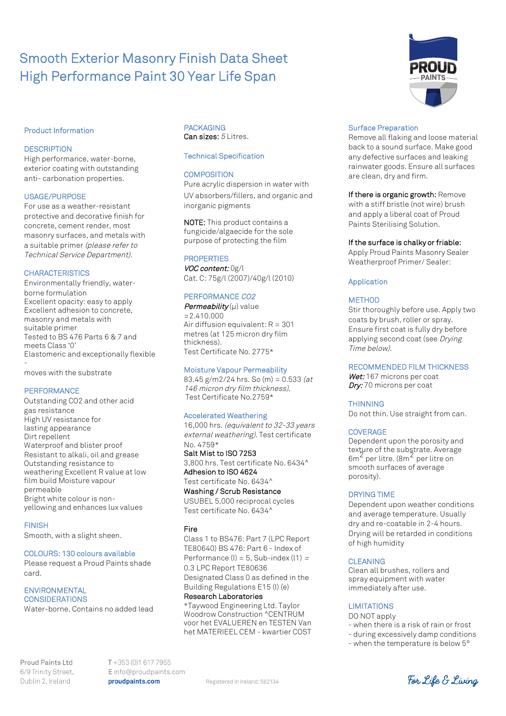# Smooth Exterior Masonry Finish Data Sheet High Performance Paint 30 Year Life Span

## Product Information

## **DESCRIPTION**

High performance, water-borne, exterior coating with outstanding anti- carbonation properties.

## USAGE/PURPOSE

For use as a weather-resistant protective and decorative finish for concrete, cement render, most masonry surfaces, and metals with a suitable primer (please refer to Technical Service Department).

## **CHARACTERISTICS**

Environmentally friendly, waterborne formulation Excellent opacity: easy to apply Excellent adhesion to concrete, masonry and metals with suitable primer Tested to BS 476 Parts 6 & 7 and meets Class '0' Elastomeric and exceptionally flexible -

moves with the substrate

# **PERFORMANCE**

Outstanding CO2 and other acid gas resistance High UV resistance for lasting appearance Dirt repellent Waterproof and blister proof Resistant to alkali, oil and grease Outstanding resistance to weathering Excellent R value at low film build Moisture vapour permeable Bright white colour is nonyellowing and enhances lux values

FINISH

Smooth, with a slight sheen.

# COLOURS: 130 colours available

Please request a Proud Paints shade card.

ENVIRONMENTAL **CONSIDERATIONS** Water-borne. Contains no added lead

# PACKAGING Can sizes:  $5$  Litres.

## Technical Specification

# **COMPOSITION**

Pure acrylic dispersion in water with UV absorbers/fillers, and organic and inorganic pigments

NOTE: This product contains a fungicide/algaecide for the sole purpose of protecting the film

# **PROPERTIES**

VOC content: 0g/l Cat. C: 75g/l (2007)/40g/l (2010)

# PERFORMANCE CO2

Permeability  $(\mu)$  value  $=2.410.000$ Air diffusion equivalent:  $R = 301$ metres (at 125 micron dry film thickness). Test Certificate No. 2775\*

#### Moisture Vapour Permeability

83.45 g/m2/24 hrs. So  $(m) = 0.533$  (at 146 micron dry film thickness). Test Certificate No.2759\*

#### Accelerated Weathering

16,000 hrs. (equivalent to 32-33 years external weathering). Test certificate No. 4759\*

Salt Mist to ISO 7253 3,800 hrs. Test certificate No. 6434^ Adhesion to ISO 4624 Test certificate No. 6434^

Washing / Scrub Resistance USUBEL 5,000 reciprocal cycles Test certificate No. 6434^

Fire

Class 1 to BS476: Part 7 (LPC Report TE80640) BS 476: Part 6 - Index of Performance (I) =  $5$ , Sub-index (I1) = 0.3 LPC Report TE80636 Designated Class 0 as defined in the Building Regulations E15 (I) (e) Research Laboratories

\*Taywood Engineering Ltd. Taylor Woodrow Construction ^CENTRUM voor het EVALUEREN en TESTEN Van het MATERIEEL CEM - kwartier COST

#### Surface Preparation

Remove all flaking and loose material back to a sound surface. Make good any defective surfaces and leaking rainwater goods. Ensure all surfaces are clean, dry and firm.

If there is organic growth: Remove with a stiff bristle (not wire) brush and apply a liberal coat of Proud Paints Sterilising Solution.

#### If the surface is chalky or friable:

Apply Proud Paints Masonry Sealer Weatherproof Primer/ Sealer:

#### Application

#### **METHOD**

Stir thoroughly before use. Apply two coats by brush, roller or spray. Ensure first coat is fully dry before applying second coat (see Drying Time below).

# RECOMMENDED FILM THICKNESS

Wet: 167 microns per coat Dry: 70 microns per coat

## **THINNING**

Do not thin. Use straight from can.

#### **COVERAGE**

Dependent upon the porosity and texture of the substrate. Average texture of the subgerate: Avera<br>6m<sup>2</sup> per litre. (8m<sup>2</sup> per litre on smooth surfaces of average porosity).

#### DRYING TIME

Dependent upon weather conditions and average temperature. Usually dry and re-coatable in 2-4 hours. Drying will be retarded in conditions of high humidity

#### CLEANING

Clean all brushes, rollers and spray equipment with water immediately after use.

#### **LIMITATIONS**

- DO NOT apply
- when there is a risk of rain or frost
- during excessively damp conditions
- when the temperature is below 5°

 $T + 353(0)16177955$ Einfo@proudpaints.com proudpaints.com